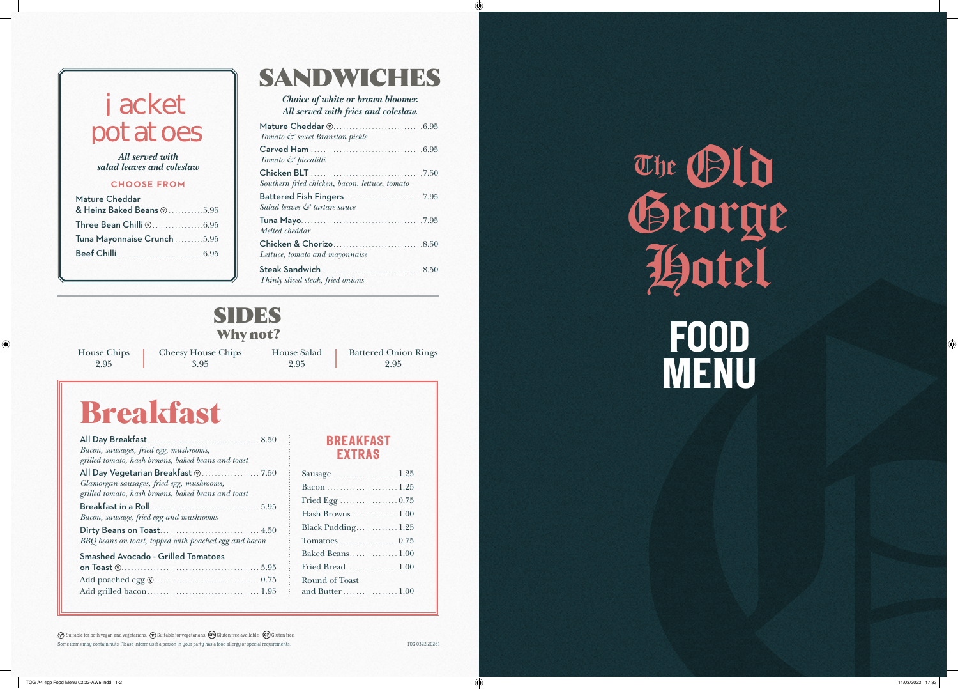The Ceorge<br>
That Economists<br>
That Economists<br>
The Conomists<br>
That Conomists<br>
The Conomists<br>
That I are the Conomists<br>
That I are the Conomists<br>
That I are the Conomists<br>
That I are the Conomists<br>
That I are the Conomists<br> **FOOD MENU** George Hotel

|                                              | Tomato & sweet Branston pickle                               |          |
|----------------------------------------------|--------------------------------------------------------------|----------|
| All served with                              | <b>Carved Ham</b><br>6.95<br>Tomato $\mathcal G$ piccalilli  | The CBIn |
| ad leaves and coleslaw<br><b>CHOOSE FROM</b> | .7.50<br>Southern fried chicken, bacon, lettuce, tomato      |          |
| heddar:<br>Baked Beans $@$ .<br>.5.95        | Salad leaves & tartare sauce                                 |          |
|                                              | Tuna Mayo<br>7.95<br>Melted cheddar                          | Georg    |
| onnaise Crunch.<br>.5.95<br>.6.95            | Chicken & Chorizo.<br>8.50<br>Lettuce, tomato and mayonnaise |          |
|                                              | .8.50<br>Thinly sliced steak, fried onions                   |          |

### SANDWICHES

*Choice of white or brown bloomer. All served with fries and coleslaw.*

| Mature Cheddar             |  |
|----------------------------|--|
| & Heinz Baked Beans @ 5.95 |  |
|                            |  |
| Tuna Mayonnaise Crunch5.95 |  |
|                            |  |
|                            |  |

# **JACKET POTATOES**

*All served with salad leaves and coleslaw* 

⊕

# Breakfast

| Bacon, sausages, fried egg, mushrooms,                |  |
|-------------------------------------------------------|--|
| grilled tomato, hash browns, baked beans and toast    |  |
|                                                       |  |
| Glamorgan sausages, fried egg, mushrooms,             |  |
| grilled tomato, hash browns, baked beans and toast    |  |
|                                                       |  |
| Bacon, sausage, fried egg and mushrooms               |  |
|                                                       |  |
| BBQ beans on toast, topped with poached egg and bacon |  |
| <b>Smashed Avocado - Grilled Tomatoes</b>             |  |
|                                                       |  |
|                                                       |  |
|                                                       |  |
|                                                       |  |

| Sausage 1.25                                        |  |
|-----------------------------------------------------|--|
|                                                     |  |
| Fried Egg $\ldots \ldots \ldots \ldots \ldots 0.75$ |  |
| Hash Browns  1.00                                   |  |
| Black Pudding1.25                                   |  |
| $Tomatoes \ldots \ldots \ldots \ldots \ldots 0.75$  |  |
| Baked Beans1.00                                     |  |
| Fried Bread1.00                                     |  |
| <b>Round of Toast</b>                               |  |
|                                                     |  |
|                                                     |  |

Some items may contain nuts. Please inform us if a person in your party has a food allergy or special requirements.  $\oslash$  Suitable for both vegan and vegetarians.  $\oslash$  Suitable for vegetarians.  $\oslash$  Gluten free available.  $\oslash$  Gluten free.

#### **BREAKFAST EXTRAS**

### SIDES **Why not?**

House Chips 2.95

 $\bigoplus$ 

Cheesy House Chips 3.95

House Salad 2.95

Battered Onion Rings 2.95